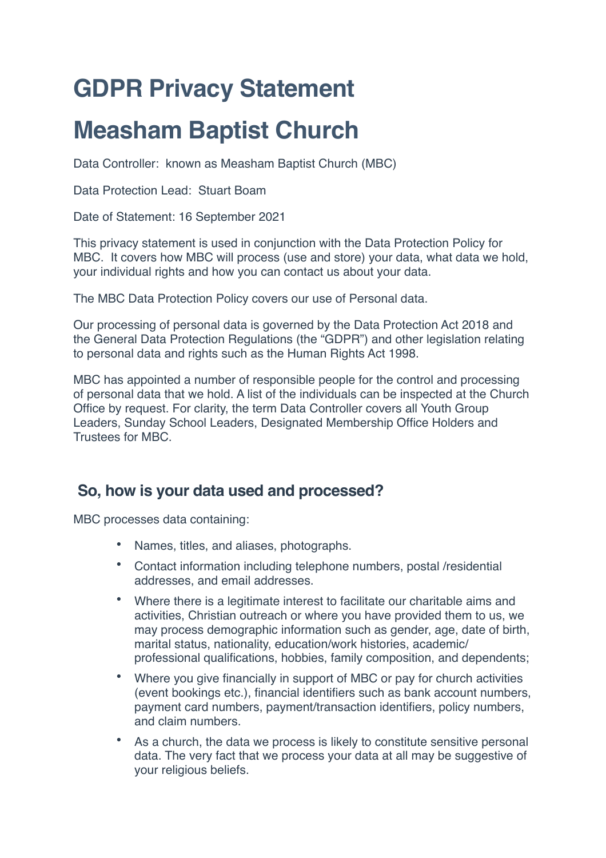# **GDPR Privacy Statement**

# **Measham Baptist Church**

Data Controller: known as Measham Baptist Church (MBC)

Data Protection Lead: Stuart Boam

Date of Statement: 16 September 2021

This privacy statement is used in conjunction with the Data Protection Policy for MBC. It covers how MBC will process (use and store) your data, what data we hold, your individual rights and how you can contact us about your data.

The MBC Data Protection Policy covers our use of Personal data.

Our processing of personal data is governed by the Data Protection Act 2018 and the General Data Protection Regulations (the "GDPR") and other legislation relating to personal data and rights such as the Human Rights Act 1998.

MBC has appointed a number of responsible people for the control and processing of personal data that we hold. A list of the individuals can be inspected at the Church Office by request. For clarity, the term Data Controller covers all Youth Group Leaders, Sunday School Leaders, Designated Membership Office Holders and Trustees for MBC.

# **So, how is your data used and processed?**

MBC processes data containing:

- Names, titles, and aliases, photographs.
- Contact information including telephone numbers, postal /residential addresses, and email addresses.
- Where there is a legitimate interest to facilitate our charitable aims and activities, Christian outreach or where you have provided them to us, we may process demographic information such as gender, age, date of birth, marital status, nationality, education/work histories, academic/ professional qualifications, hobbies, family composition, and dependents;
- Where you give financially in support of MBC or pay for church activities (event bookings etc.), financial identifiers such as bank account numbers, payment card numbers, payment/transaction identifiers, policy numbers, and claim numbers.
- As a church, the data we process is likely to constitute sensitive personal data. The very fact that we process your data at all may be suggestive of your religious beliefs.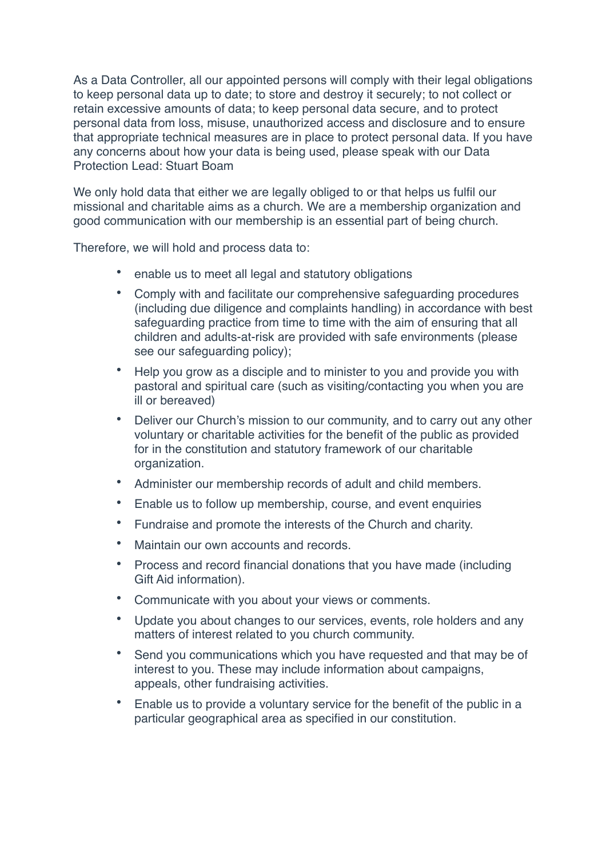As a Data Controller, all our appointed persons will comply with their legal obligations to keep personal data up to date; to store and destroy it securely; to not collect or retain excessive amounts of data; to keep personal data secure, and to protect personal data from loss, misuse, unauthorized access and disclosure and to ensure that appropriate technical measures are in place to protect personal data. If you have any concerns about how your data is being used, please speak with our Data Protection Lead: Stuart Boam

We only hold data that either we are legally obliged to or that helps us fulfil our missional and charitable aims as a church. We are a membership organization and good communication with our membership is an essential part of being church.

Therefore, we will hold and process data to:

- enable us to meet all legal and statutory obligations
- Comply with and facilitate our comprehensive safeguarding procedures (including due diligence and complaints handling) in accordance with best safeguarding practice from time to time with the aim of ensuring that all children and adults-at-risk are provided with safe environments (please see our safeguarding policy);
- Help you grow as a disciple and to minister to you and provide you with pastoral and spiritual care (such as visiting/contacting you when you are ill or bereaved)
- Deliver our Church's mission to our community, and to carry out any other voluntary or charitable activities for the benefit of the public as provided for in the constitution and statutory framework of our charitable organization.
- Administer our membership records of adult and child members.
- Enable us to follow up membership, course, and event enquiries
- Fundraise and promote the interests of the Church and charity.
- Maintain our own accounts and records.
- Process and record financial donations that you have made (including Gift Aid information).
- Communicate with you about your views or comments.
- Update you about changes to our services, events, role holders and any matters of interest related to you church community.
- Send you communications which you have requested and that may be of interest to you. These may include information about campaigns, appeals, other fundraising activities.
- Enable us to provide a voluntary service for the benefit of the public in a particular geographical area as specified in our constitution.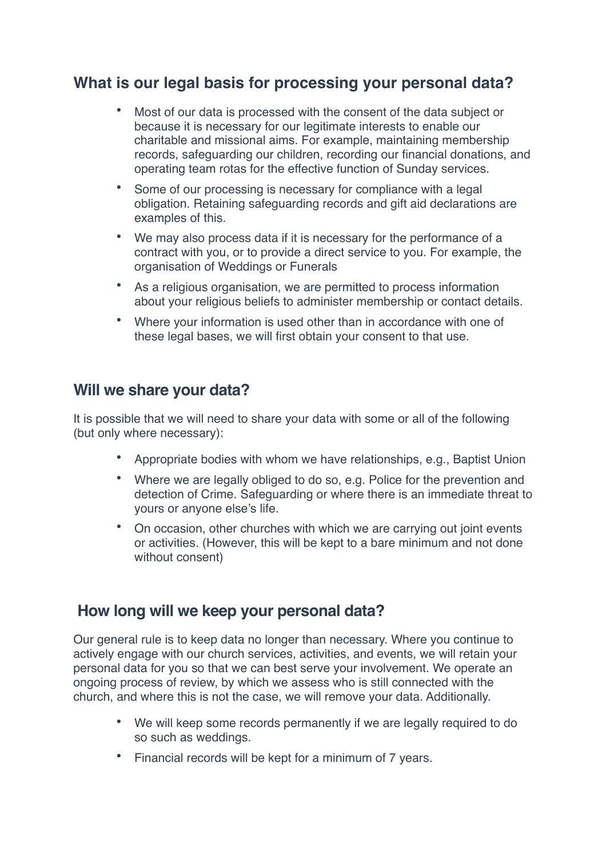### **What is our legal basis for processing your personal data?**

- Most of our data is processed with the consent of the data subject or because it is necessary for our legitimate interests to enable our charitable and missional aims. For example, maintaining membership records, safeguarding our children, recording our financial donations, and operating team rotas for the effective function of Sunday services.
- Some of our processing is necessary for compliance with a legal obligation. Retaining safeguarding records and gift aid declarations are examples of this.
- We may also process data if it is necessary for the performance of a contract with you, or to provide a direct service to you. For example, the organisation of Weddings or Funerals
- As a religious organisation, we are permitted to process information about your religious beliefs to administer membership or contact details.
- Where your information is used other than in accordance with one of these legal bases, we will first obtain your consent to that use.

#### **Will we share your data?**

It is possible that we will need to share your data with some or all of the following (but only where necessary):

- Appropriate bodies with whom we have relationships, e.g., Baptist Union
- Where we are legally obliged to do so, e.g. Police for the prevention and detection of Crime. Safeguarding or where there is an immediate threat to yours or anyone else's life.
- On occasion, other churches with which we are carrying out joint events or activities. (However, this will be kept to a bare minimum and not done without consent)

### **How long will we keep your personal data?**

Our general rule is to keep data no longer than necessary. Where you continue to actively engage with our church services, activities, and events, we will retain your personal data for you so that we can best serve your involvement. We operate an ongoing process of review, by which we assess who is still connected with the church, and where this is not the case, we will remove your data. Additionally.

- We will keep some records permanently if we are legally required to do so such as weddings.
- Financial records will be kept for a minimum of 7 years.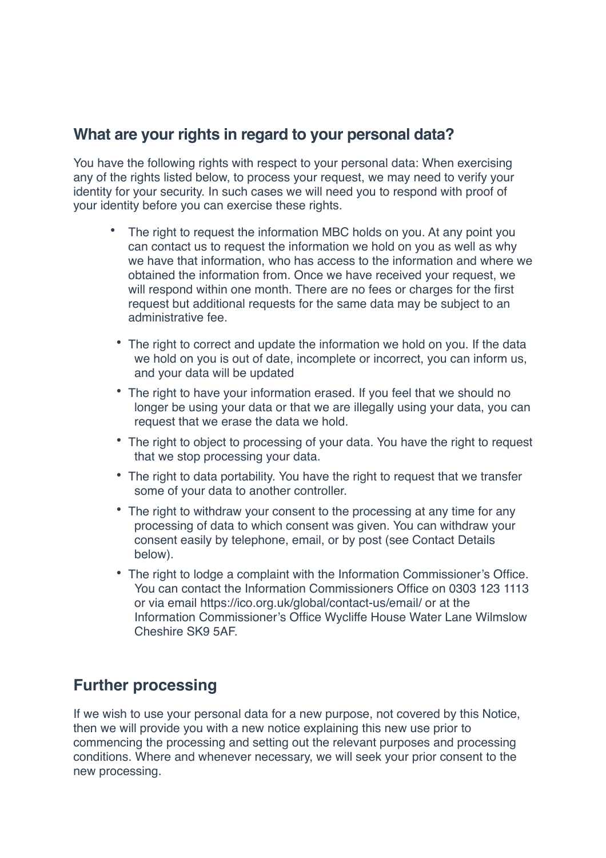#### **What are your rights in regard to your personal data?**

You have the following rights with respect to your personal data: When exercising any of the rights listed below, to process your request, we may need to verify your identity for your security. In such cases we will need you to respond with proof of your identity before you can exercise these rights.

- The right to request the information MBC holds on you. At any point you can contact us to request the information we hold on you as well as why we have that information, who has access to the information and where we obtained the information from. Once we have received your request, we will respond within one month. There are no fees or charges for the first request but additional requests for the same data may be subject to an administrative fee.
- The right to correct and update the information we hold on you. If the data we hold on you is out of date, incomplete or incorrect, you can inform us, and your data will be updated
- The right to have your information erased. If you feel that we should no longer be using your data or that we are illegally using your data, you can request that we erase the data we hold.
- The right to object to processing of your data. You have the right to request that we stop processing your data.
- The right to data portability. You have the right to request that we transfer some of your data to another controller.
- The right to withdraw your consent to the processing at any time for any processing of data to which consent was given. You can withdraw your consent easily by telephone, email, or by post (see Contact Details below).
- The right to lodge a complaint with the Information Commissioner's Office. You can contact the Information Commissioners Office on 0303 123 1113 or via email https://ico.org.uk/global/contact-us/email/ or at the Information Commissioner's Office Wycliffe House Water Lane Wilmslow Cheshire SK9 5AF.

#### **Further processing**

If we wish to use your personal data for a new purpose, not covered by this Notice, then we will provide you with a new notice explaining this new use prior to commencing the processing and setting out the relevant purposes and processing conditions. Where and whenever necessary, we will seek your prior consent to the new processing.